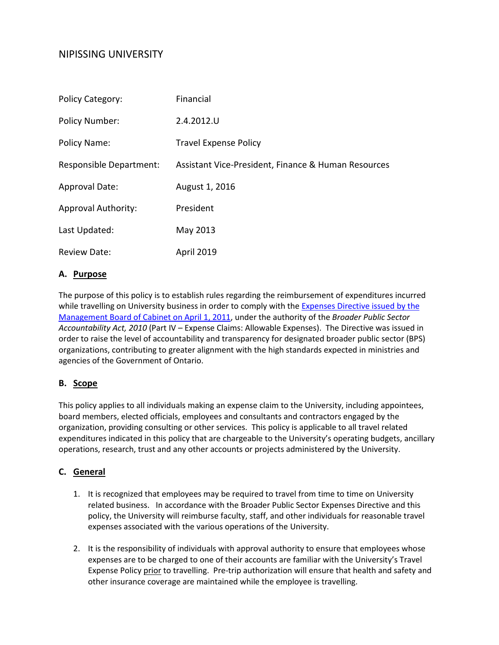# NIPISSING UNIVERSITY

| <b>Policy Category:</b>    | Financial                                           |
|----------------------------|-----------------------------------------------------|
| <b>Policy Number:</b>      | 2.4.2012.U                                          |
| Policy Name:               | <b>Travel Expense Policy</b>                        |
| Responsible Department:    | Assistant Vice-President, Finance & Human Resources |
| Approval Date:             | August 1, 2016                                      |
| <b>Approval Authority:</b> | President                                           |
| Last Updated:              | May 2013                                            |
| <b>Review Date:</b>        | <b>April 2019</b>                                   |

## **A. Purpose**

The purpose of this policy is to establish rules regarding the reimbursement of expenditures incurred while travelling on University business in order to comply with the Expenses Directive issued by the [Management Board of Cabinet on April 1, 2011,](http://www.fin.gov.on.ca/en/bpssupplychain/expenses.html) under the authority of the *Broader Public Sector Accountability Act, 2010* (Part IV – Expense Claims: Allowable Expenses). The Directive was issued in order to raise the level of accountability and transparency for designated broader public sector (BPS) organizations, contributing to greater alignment with the high standards expected in ministries and agencies of the Government of Ontario.

## **B. Scope**

This policy applies to all individuals making an expense claim to the University, including appointees, board members, elected officials, employees and consultants and contractors engaged by the organization, providing consulting or other services. This policy is applicable to all travel related expenditures indicated in this policy that are chargeable to the University's operating budgets, ancillary operations, research, trust and any other accounts or projects administered by the University.

## **C. General**

- 1. It is recognized that employees may be required to travel from time to time on University related business. In accordance with the Broader Public Sector Expenses Directive and this policy, the University will reimburse faculty, staff, and other individuals for reasonable travel expenses associated with the various operations of the University.
- 2. It is the responsibility of individuals with approval authority to ensure that employees whose expenses are to be charged to one of their accounts are familiar with the University's Travel Expense Policy prior to travelling. Pre-trip authorization will ensure that health and safety and other insurance coverage are maintained while the employee is travelling.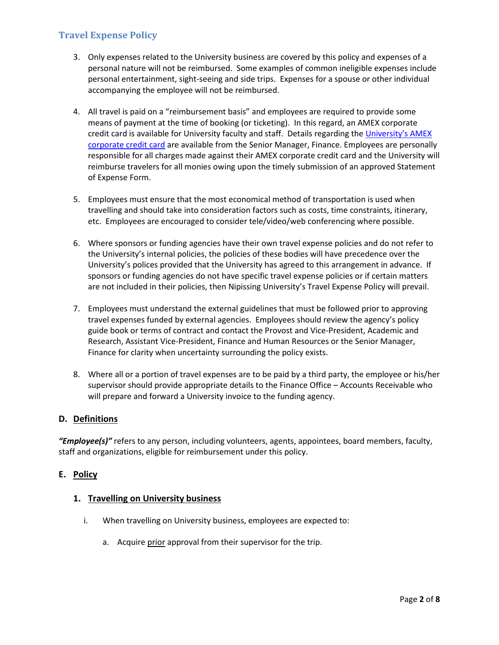- 3. Only expenses related to the University business are covered by this policy and expenses of a personal nature will not be reimbursed. Some examples of common ineligible expenses include personal entertainment, sight-seeing and side trips. Expenses for a spouse or other individual accompanying the employee will not be reimbursed.
- 4. All travel is paid on a "reimbursement basis" and employees are required to provide some means of payment at the time of booking (or ticketing). In this regard, an AMEX corporate credit card is available for University faculty and staff. Details regarding the University's AMEX [corporate credit card](http://www.nipissingu.ca/departments/finance-administration-and-capital-investments-vice-president/Pages/American-Express-Credit-Card-Application.aspx) are available from the Senior Manager, Finance. Employees are personally responsible for all charges made against their AMEX corporate credit card and the University will reimburse travelers for all monies owing upon the timely submission of an approved Statement of Expense Form.
- 5. Employees must ensure that the most economical method of transportation is used when travelling and should take into consideration factors such as costs, time constraints, itinerary, etc. Employees are encouraged to consider tele/video/web conferencing where possible.
- 6. Where sponsors or funding agencies have their own travel expense policies and do not refer to the University's internal policies, the policies of these bodies will have precedence over the University's polices provided that the University has agreed to this arrangement in advance. If sponsors or funding agencies do not have specific travel expense policies or if certain matters are not included in their policies, then Nipissing University's Travel Expense Policy will prevail.
- 7. Employees must understand the external guidelines that must be followed prior to approving travel expenses funded by external agencies. Employees should review the agency's policy guide book or terms of contract and contact the Provost and Vice-President, Academic and Research, Assistant Vice-President, Finance and Human Resources or the Senior Manager, Finance for clarity when uncertainty surrounding the policy exists.
- 8. Where all or a portion of travel expenses are to be paid by a third party, the employee or his/her supervisor should provide appropriate details to the Finance Office – Accounts Receivable who will prepare and forward a University invoice to the funding agency.

## **D. Definitions**

*"Employee(s)"* refers to any person, including volunteers, agents, appointees, board members, faculty, staff and organizations, eligible for reimbursement under this policy.

## **E. Policy**

## **1. Travelling on University business**

- i. When travelling on University business, employees are expected to:
	- a. Acquire prior approval from their supervisor for the trip.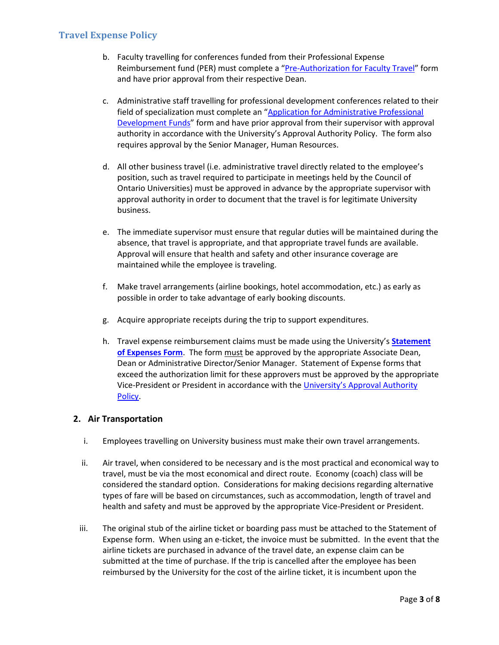- b. Faculty travelling for conferences funded from their Professional Expense Reimbursement fund (PER) must complete a ["Pre-Authorization for Faculty Travel"](http://www.nipissingu.ca/departments/finance-administration-and-capital-investments-vice-president/Pages/Forms.aspx) form and have prior approval from their respective Dean.
- c. Administrative staff travelling for professional development conferences related to their field of specialization must complete an ["Application for Administrative Professional](http://www.nipissingu.ca/departments/finance-administration-and-capital-investments-vice-president/Pages/Forms.aspx)  [Development Funds"](http://www.nipissingu.ca/departments/finance-administration-and-capital-investments-vice-president/Pages/Forms.aspx) form and have prior approval from their supervisor with approval authority in accordance with the University's Approval Authority Policy. The form also requires approval by the Senior Manager, Human Resources.
- d. All other business travel (i.e. administrative travel directly related to the employee's position, such as travel required to participate in meetings held by the Council of Ontario Universities) must be approved in advance by the appropriate supervisor with approval authority in order to document that the travel is for legitimate University business.
- e. The immediate supervisor must ensure that regular duties will be maintained during the absence, that travel is appropriate, and that appropriate travel funds are available. Approval will ensure that health and safety and other insurance coverage are maintained while the employee is traveling.
- f. Make travel arrangements (airline bookings, hotel accommodation, etc.) as early as possible in order to take advantage of early booking discounts.
- g. Acquire appropriate receipts during the trip to support expenditures.
- h. Travel expense reimbursement claims must be made using the University's **[Statement](http://www.nipissingu.ca/departments/finance-administration-and-capital-investments-vice-president/Documents/Statement%20of%20Expense%20form.pdf)  [of Expenses Form](http://www.nipissingu.ca/departments/finance-administration-and-capital-investments-vice-president/Documents/Statement%20of%20Expense%20form.pdf)**. The form must be approved by the appropriate Associate Dean, Dean or Administrative Director/Senior Manager. Statement of Expense forms that exceed the authorization limit for these approvers must be approved by the appropriate Vice-President or President in accordance with th[e University's Approval Authority](http://www.nipissingu.ca/departments/finance-administration-and-capital-investments-vice-president/Documents/2.2.2012.B%20Approval%20Authority%20Policy.pdf)  [Policy.](http://www.nipissingu.ca/departments/finance-administration-and-capital-investments-vice-president/Documents/2.2.2012.B%20Approval%20Authority%20Policy.pdf)

## **2. Air Transportation**

- i. Employees travelling on University business must make their own travel arrangements.
- ii. Air travel, when considered to be necessary and is the most practical and economical way to travel, must be via the most economical and direct route. Economy (coach) class will be considered the standard option. Considerations for making decisions regarding alternative types of fare will be based on circumstances, such as accommodation, length of travel and health and safety and must be approved by the appropriate Vice-President or President.
- iii. The original stub of the airline ticket or boarding pass must be attached to the Statement of Expense form. When using an e-ticket, the invoice must be submitted. In the event that the airline tickets are purchased in advance of the travel date, an expense claim can be submitted at the time of purchase. If the trip is cancelled after the employee has been reimbursed by the University for the cost of the airline ticket, it is incumbent upon the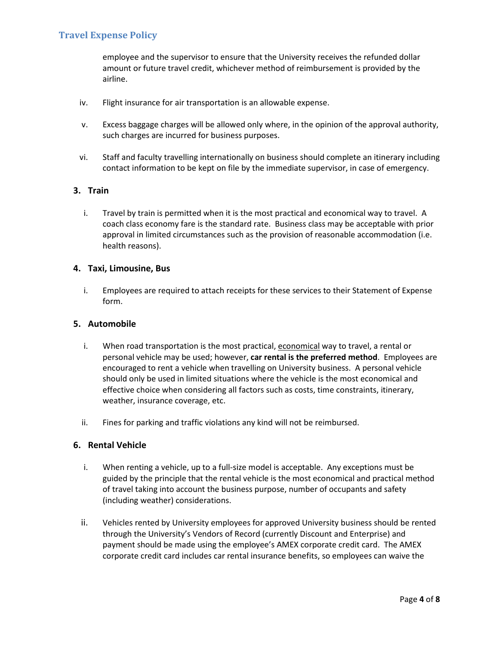employee and the supervisor to ensure that the University receives the refunded dollar amount or future travel credit, whichever method of reimbursement is provided by the airline.

- iv. Flight insurance for air transportation is an allowable expense.
- v. Excess baggage charges will be allowed only where, in the opinion of the approval authority, such charges are incurred for business purposes.
- vi. Staff and faculty travelling internationally on business should complete an itinerary including contact information to be kept on file by the immediate supervisor, in case of emergency.

## **3. Train**

i. Travel by train is permitted when it is the most practical and economical way to travel. A coach class economy fare is the standard rate. Business class may be acceptable with prior approval in limited circumstances such as the provision of reasonable accommodation (i.e. health reasons).

### **4. Taxi, Limousine, Bus**

i. Employees are required to attach receipts for these services to their Statement of Expense form.

### **5. Automobile**

- i. When road transportation is the most practical, economical way to travel, a rental or personal vehicle may be used; however, **car rental is the preferred method**. Employees are encouraged to rent a vehicle when travelling on University business. A personal vehicle should only be used in limited situations where the vehicle is the most economical and effective choice when considering all factors such as costs, time constraints, itinerary, weather, insurance coverage, etc.
- ii. Fines for parking and traffic violations any kind will not be reimbursed.

#### **6. Rental Vehicle**

- i. When renting a vehicle, up to a full-size model is acceptable. Any exceptions must be guided by the principle that the rental vehicle is the most economical and practical method of travel taking into account the business purpose, number of occupants and safety (including weather) considerations.
- ii. Vehicles rented by University employees for approved University business should be rented through the University's Vendors of Record (currently Discount and Enterprise) and payment should be made using the employee's AMEX corporate credit card. The AMEX corporate credit card includes car rental insurance benefits, so employees can waive the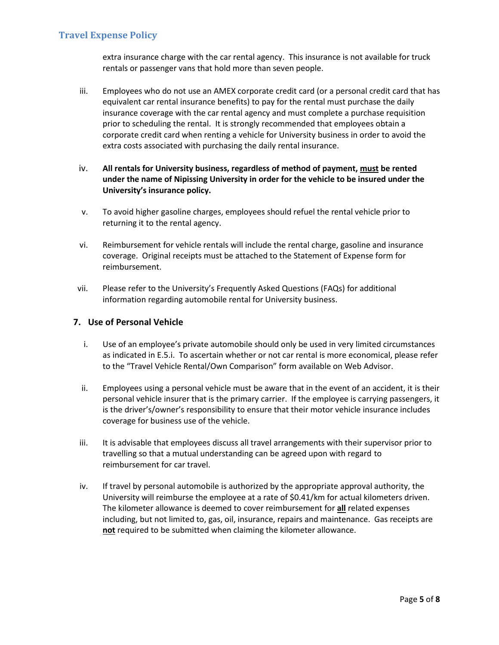extra insurance charge with the car rental agency. This insurance is not available for truck rentals or passenger vans that hold more than seven people.

- iii. Employees who do not use an AMEX corporate credit card (or a personal credit card that has equivalent car rental insurance benefits) to pay for the rental must purchase the daily insurance coverage with the car rental agency and must complete a purchase requisition prior to scheduling the rental. It is strongly recommended that employees obtain a corporate credit card when renting a vehicle for University business in order to avoid the extra costs associated with purchasing the daily rental insurance.
- iv. **All rentals for University business, regardless of method of payment, must be rented under the name of Nipissing University in order for the vehicle to be insured under the University's insurance policy.**
- v. To avoid higher gasoline charges, employees should refuel the rental vehicle prior to returning it to the rental agency.
- vi. Reimbursement for vehicle rentals will include the rental charge, gasoline and insurance coverage. Original receipts must be attached to the Statement of Expense form for reimbursement.
- vii. Please refer to the University's Frequently Asked Questions (FAQs) for additional information regarding automobile rental for University business.

### **7. Use of Personal Vehicle**

- i. Use of an employee's private automobile should only be used in very limited circumstances as indicated in E.5.i. To ascertain whether or not car rental is more economical, please refer to the "Travel Vehicle Rental/Own Comparison" form available on Web Advisor.
- ii. Employees using a personal vehicle must be aware that in the event of an accident, it is their personal vehicle insurer that is the primary carrier. If the employee is carrying passengers, it is the driver's/owner's responsibility to ensure that their motor vehicle insurance includes coverage for business use of the vehicle.
- iii. It is advisable that employees discuss all travel arrangements with their supervisor prior to travelling so that a mutual understanding can be agreed upon with regard to reimbursement for car travel.
- iv. If travel by personal automobile is authorized by the appropriate approval authority, the University will reimburse the employee at a rate of \$0.41/km for actual kilometers driven. The kilometer allowance is deemed to cover reimbursement for **all** related expenses including, but not limited to, gas, oil, insurance, repairs and maintenance. Gas receipts are **not** required to be submitted when claiming the kilometer allowance.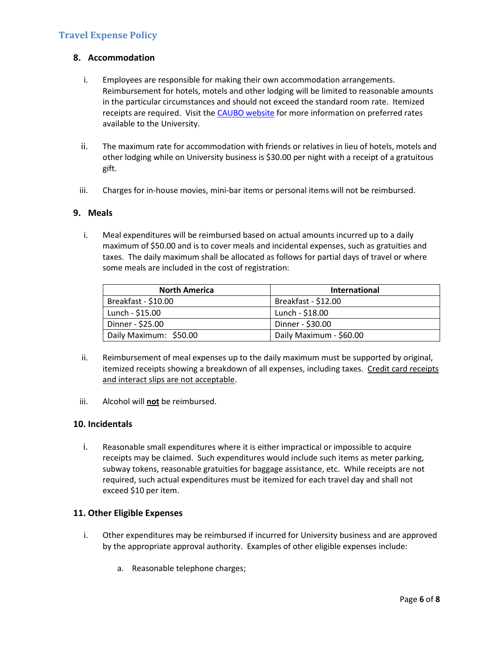### **8. Accommodation**

- i. Employees are responsible for making their own accommodation arrangements. Reimbursement for hotels, motels and other lodging will be limited to reasonable amounts in the particular circumstances and should not exceed the standard room rate. Itemized receipts are required. Visit th[e CAUBO website](http://www.caubo.ca/front) for more information on preferred rates available to the University.
- ii. The maximum rate for accommodation with friends or relatives in lieu of hotels, motels and other lodging while on University business is \$30.00 per night with a receipt of a gratuitous gift.
- iii. Charges for in-house movies, mini-bar items or personal items will not be reimbursed.

#### **9. Meals**

i. Meal expenditures will be reimbursed based on actual amounts incurred up to a daily maximum of \$50.00 and is to cover meals and incidental expenses, such as gratuities and taxes. The daily maximum shall be allocated as follows for partial days of travel or where some meals are included in the cost of registration:

| <b>North America</b>    | <b>International</b>    |
|-------------------------|-------------------------|
| Breakfast - \$10.00     | Breakfast - \$12.00     |
| $\vert$ Lunch - \$15.00 | Lunch - \$18.00         |
| Dinner - \$25.00        | Dinner - \$30.00        |
| Daily Maximum: \$50.00  | Daily Maximum - \$60.00 |

- ii. Reimbursement of meal expenses up to the daily maximum must be supported by original, itemized receipts showing a breakdown of all expenses, including taxes. Credit card receipts and interact slips are not acceptable.
- iii. Alcohol will **not** be reimbursed.

#### **10. Incidentals**

i. Reasonable small expenditures where it is either impractical or impossible to acquire receipts may be claimed. Such expenditures would include such items as meter parking, subway tokens, reasonable gratuities for baggage assistance, etc. While receipts are not required, such actual expenditures must be itemized for each travel day and shall not exceed \$10 per item.

#### **11. Other Eligible Expenses**

- i. Other expenditures may be reimbursed if incurred for University business and are approved by the appropriate approval authority. Examples of other eligible expenses include:
	- a. Reasonable telephone charges;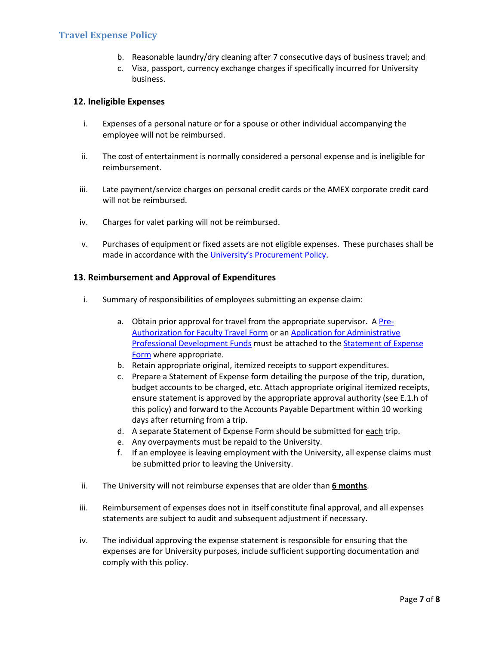- b. Reasonable laundry/dry cleaning after 7 consecutive days of business travel; and
- c. Visa, passport, currency exchange charges if specifically incurred for University business.

#### **12. Ineligible Expenses**

- i. Expenses of a personal nature or for a spouse or other individual accompanying the employee will not be reimbursed.
- ii. The cost of entertainment is normally considered a personal expense and is ineligible for reimbursement.
- iii. Late payment/service charges on personal credit cards or the AMEX corporate credit card will not be reimbursed.
- iv. Charges for valet parking will not be reimbursed.
- v. Purchases of equipment or fixed assets are not eligible expenses. These purchases shall be made in accordance with the [University's Procurement Policy.](http://www.nipissingu.ca/departments/finance-administration-and-capital-investments-vice-president/Documents/2.3.2012.U---Procurement%20Policy.pdf)

#### **13. Reimbursement and Approval of Expenditures**

- i. Summary of responsibilities of employees submitting an expense claim:
	- a. Obtain prior approval for travel from the appropriate supervisor. A [Pre-](http://www.nipissingu.ca/departments/finance-administration-and-capital-investments-vice-president/Pages/Forms.aspx)[Authorization for Faculty Travel Form](http://www.nipissingu.ca/departments/finance-administration-and-capital-investments-vice-president/Pages/Forms.aspx) or an [Application for Administrative](http://www.nipissingu.ca/departments/finance-administration-and-capital-investments-vice-president/Pages/Forms.aspx)  [Professional Development Funds](http://www.nipissingu.ca/departments/finance-administration-and-capital-investments-vice-president/Pages/Forms.aspx) must be attached to th[e Statement of Expense](http://www.nipissingu.ca/departments/finance-administration-and-capital-investments-vice-president/Pages/Forms.aspx)  [Form](http://www.nipissingu.ca/departments/finance-administration-and-capital-investments-vice-president/Pages/Forms.aspx) where appropriate.
	- b. Retain appropriate original, itemized receipts to support expenditures.
	- c. Prepare a Statement of Expense form detailing the purpose of the trip, duration, budget accounts to be charged, etc. Attach appropriate original itemized receipts, ensure statement is approved by the appropriate approval authority (see E.1.h of this policy) and forward to the Accounts Payable Department within 10 working days after returning from a trip.
	- d. A separate Statement of Expense Form should be submitted for each trip.
	- e. Any overpayments must be repaid to the University.
	- f. If an employee is leaving employment with the University, all expense claims must be submitted prior to leaving the University.
- ii. The University will not reimburse expenses that are older than **6 months**.
- iii. Reimbursement of expenses does not in itself constitute final approval, and all expenses statements are subject to audit and subsequent adjustment if necessary.
- iv. The individual approving the expense statement is responsible for ensuring that the expenses are for University purposes, include sufficient supporting documentation and comply with this policy.